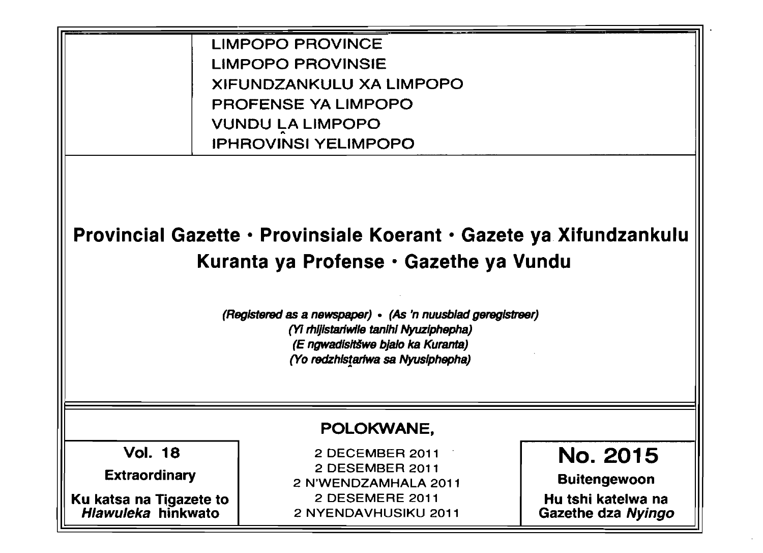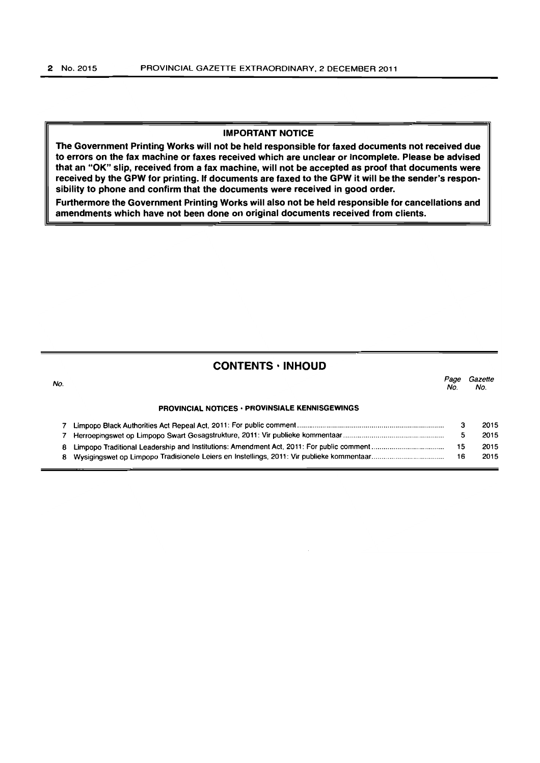### IMPORTANT NOTICE

The Government Printing Works will not be held responsible for faxed documents not received due to errors on the fax machine or faxes received which are unclear or incomplete. Please be advised that an "OK" slip, received from a fax machine, will not be accepted as proof that documents were received by the GPW for printing. If documents are faxed to the GPW it will be the sender's responsibility to phone and confirm that the documents were received in good order.

Furthermore the Government Printing Works will also not be held responsible for cancellations and amendments which have not been done on original documents received from clients.

|     | <b>CONTENTS · INHOUD</b>                              |             |                |
|-----|-------------------------------------------------------|-------------|----------------|
| No. |                                                       | Page<br>No. | Gazette<br>No. |
|     | <b>PROVINCIAL NOTICES · PROVINSIALE KENNISGEWINGS</b> |             |                |
|     |                                                       | з           | 2015           |
|     |                                                       | 5           | 2015           |
| 8   |                                                       | 15          | 2015           |
| 8   |                                                       | 16          | 2015           |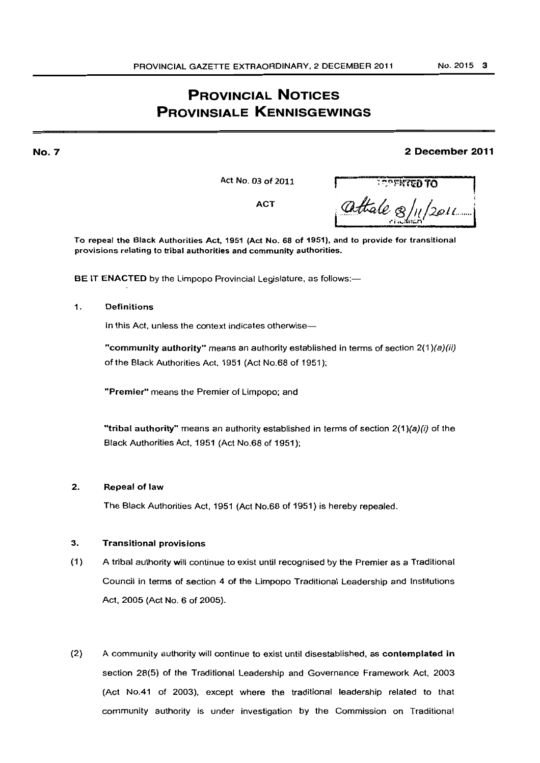# **PROVINCIAL NOTICES PROVINSIALE KENNISGEWINGS**

# **2 December 2011**

**ACT** 

Act No. 03 of 2011 **r** : ~~r-tITtiD TO **I**  attale 8/11/2011

To repeal the Black Authorities Act, 1951 (Act No. 68 of 1951), and to provide for transitional provisions relating to tribal authorities and community authorities.

BE IT ENACTED by the Limpopo Provincial Legislature, as follows:-

# 1. Definitions

**No.7** 

In this Act, unless the context indicates otherwise-

"community authority" means an authority established in terms of section  $2(1)(a)(ii)$ of the Black Authorities Act. 1951 (Act NO.68 of 1951);

"Premier" means the Premier of Limpopo; and

"tribal authority" means an authority established in terms of section  $2(1)(a)(i)$  of the Black Authorities Act, 1951 (Act NO.68 of 1951);

# 2. Repeal of law

The Black Authorities Act. 1951 (Act NO.68 of 1951) is hereby repealed.

# 3. Transitional provisions

- (1) A tribal authority will continue to exist until recognised by the Premier as a Traditional Council in terms of section 4 of the Limpopo Traditional Leadership and Institutions Act, 2005 (Act No. 6 of 2005).
- (2) A community authority will continue to exist until disestablished, as contemplated in section 28(5) of the Traditional Leadership and Governance Framework Act, 2003 (Act No.41 of 2003), except where the traditional leadership related to that community authority is under investigation by the Commission on Traditional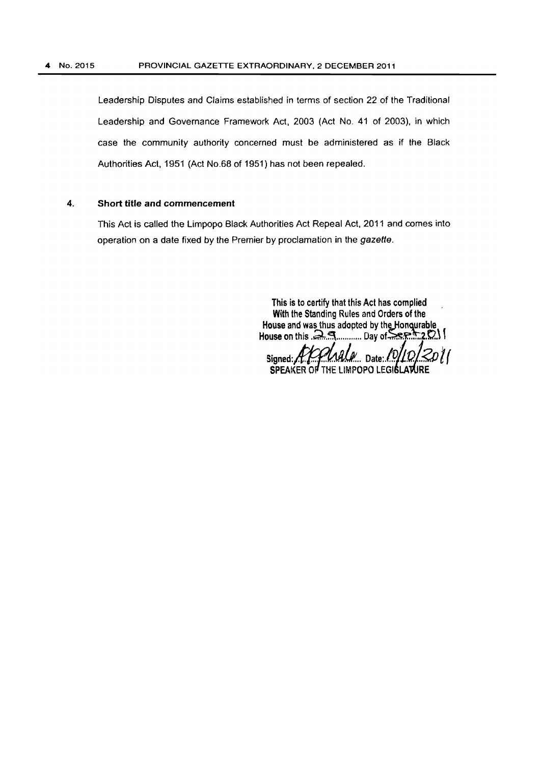#### 4 No. 2015 PROVINCIAL GAZETTE EXTRAORDINARY, 2 DECEMBER 2011

Leadership Disputes and Claims established in terms of section 22 of the Traditional Leadership and Governance Framework Act, 2003 (Act No. 41 of 2003). in which case the community authority concerned must be administered as if the Black Authorities Act. 1951 (Act NO.68 of 1951) has not been repealed.

# 4. Short title and commencement

This Act is called the Limpopo Black Authorities Act Repeal Act. 2011 and comes into operation on a date fixed by the Premier by proclamation in the gazette.

> This is to certify that this Act has complied With the Standing Rules and Orders of the House and ~as thus adopted by th§)ion~able House on this ,a,~"."""", Day of~;~ ..... 2.tI..\ 1

Signed: MAMALI Date:.IV<br>SPEAKER OF THE LIMPOPO LEGIS!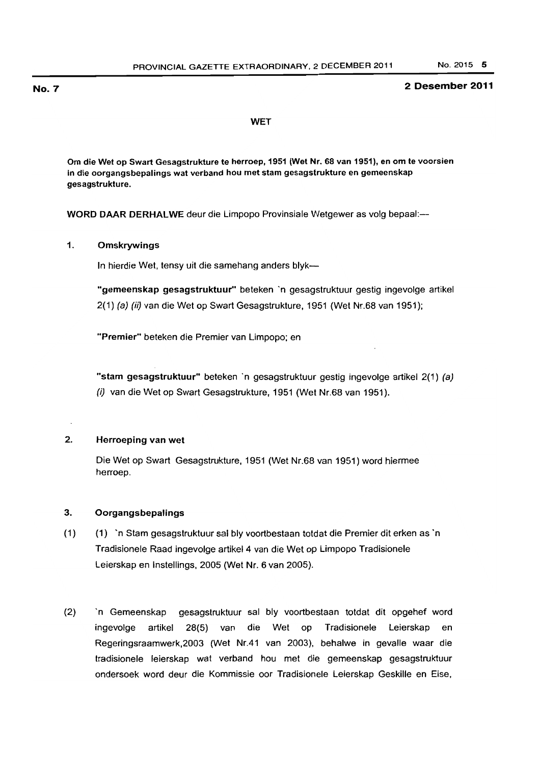# No. 7 2 Desember 2011

#### **WET**

Om die Wet op Swart Gesagstrukture te herroep, 1951 (Wet Nr. 68 van 1951), en om te voorsien in die oorgangsbepalings wat verband hou met stam gesagstrukture en gemeenskap gesagstrukture.

WORD DAAR DERHALWE deur die Limpopo Provinsiale Wetgewer as volg bepaal:-

# 1. Omskrywings

In hierdie Wet, tensy uit die samehang anders blyk-

"gemeenskap gesagstruktuur" beteken 'n gesagstruktuur gestig ingevolge artikel 2(1) (a) (ii) van die Wet op Swart Gesagstrukture. 1951 (Wet Nr.68 van 1951);

"Premier" beteken die Premier van Limpopo; en

"starn gesagstruktuur" beteken 'n gesagstruktuur gestig ingevolge artikel 2(1) (a) (i) van die Wet op Swart Gesagstrukture. 1951 (Wet Nr.68 van 1951).

# 2. Henroeping van wet

Die Wet op Swart Gesagstrukture. 1951 (Wet Nr.68 van 1951) word hiermee herroep.

# 3. Oorgangsbepalings

- (1) (1)'n Stam gesagstruktuur sal bly voortbestaan totdat die Premier dit erken as'n Tradisionele Raad ingevolge artikel4 van die Wet op Limpopo Tradisionele Leierskap en Instellings. 2005 (Wet Nr. 6 van 2005).
- (2) n Gemeenskap gesagstruktuur sal bly voortbestaan totdat dit opgehef word ingevolge artikel 28(5) van die Wet op Tradisionele Leierskap en Regeringsraamwerk, 2003 (Wet Nr.41 van 2003), behalwe in gevalle waar die tradisionele leierskap wat verband hou met die gemeenskap gesagstruktuur ondersoek word deur die Kommissie oor Tradisionele Leierskap Geskille en Eise.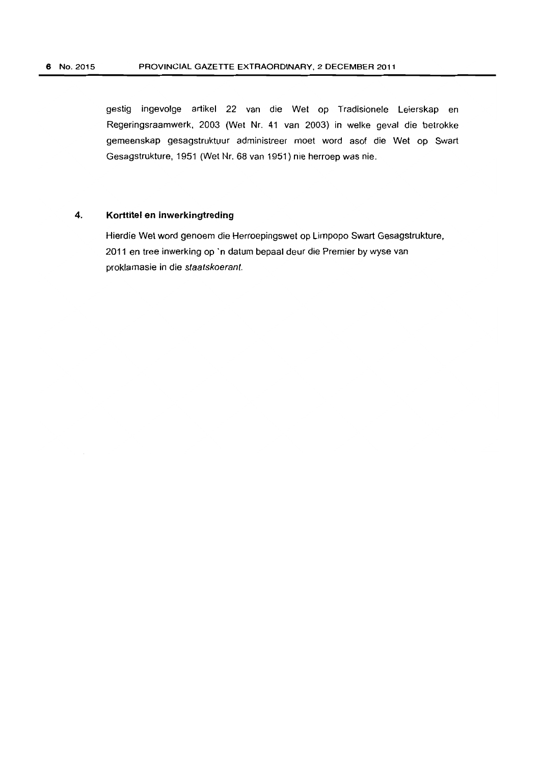gestig ingevalge artikel 22 van die Wet ap Tradisionele Leierskap en Regeringsraamwerk, 2003 (Wet Nr. 41 van 2003) in welke geval die betrokke gemeenskap gesagstruktuur administreer moet word asof die Wet op Swart Gesagstrukture, 1951 (Wet Nr. 68 van 1951) nie herroep was nie.

# 4. **Korttitel en inwerkingtreding**

Hierdie Wet word genoem die Herraepingswet ap Limpopo Swart Gesagstrukture, 2011 en tree inwerking op 'n datum bepaal deur die Premier by wyse van proklamasie in die slaatskoerant.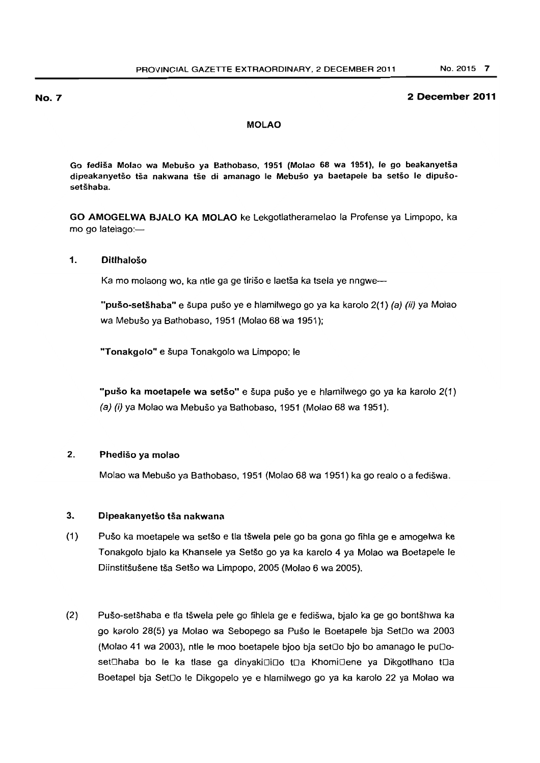### MOLAO

Go fedisa Molao wa Mebuso ya 8athobaso, 1951 (Molao 68 wa 1951), Ie go beakanyetsa dipeakanyetšo tša nakwana tše di amanago le Mebušo ya baetapele ba setšo le dipušosetšhaba.

GO AMOGELWA BJALO KA MOLAO ke lekgotlatheramelao la Protense ya Limpopo. ka mo go latelago:-

#### 1. DitlhaJoso

Ka mo molaong wo, ka ntle ga ge tirišo e laetša ka tsela ye nngwe-

"pušo-setšhaba" e šupa pušo ye e hlamilwego go ya ka karolo 2(1) (a) (ii) ya Molao wa Mebušo ya Bathobaso, 1951 (Molao 68 wa 1951);

"Tonakgolo" e šupa Tonakgolo wa Limpopo; le

"pušo ka moetapele wa setšo" e šupa pušo ye e hlamilwego go ya ka karolo 2(1) (a) (i) ya Molao wa Mebuso ya Balhobaso, 1951 (Molao 68 wa 1951).

# 2. Phediso ya molao

Molao wa Mebuso ya Bathobaso. 1951 (Molao 68 wa 1951) ka go realo 0 a fediswa.

# 3. Dipeakanyetšo tša nakwana

- (1) Puso ka moetapele wa selso e tla tswela pele go ba gona go fihla ge e amogelwa ke Tonakgolo bialo ka Khansele ya Setšo go ya ka karolo 4 ya Molao wa Boetapele le Diinstitšušene tša Setšo wa Limpopo, 2005 (Molao 6 wa 2005).
- (2) PU50-setshaba e tla tswela pele go fihlela ge e fediswa, bjalo ka ge go bontshwa ka go karolo 28(5) ya Molao wa Sebopego sa Puso Ie Boetapele bja Setoo wa 2003 (Molao 41 wa 2003), ntle le moo boetapele bjoo bja set $\Box$ o bjo bo amanago le pu $\Box$ oset⊡haba bo le ka tlase ga dinyaki⊡i⊡o t⊡a Khomi⊡ene ya Dikgotlhano t⊡a Boetapel bja SetDo le Dikgopelo ye e hlamilwego go ya ka karolo 22 ya Molao wa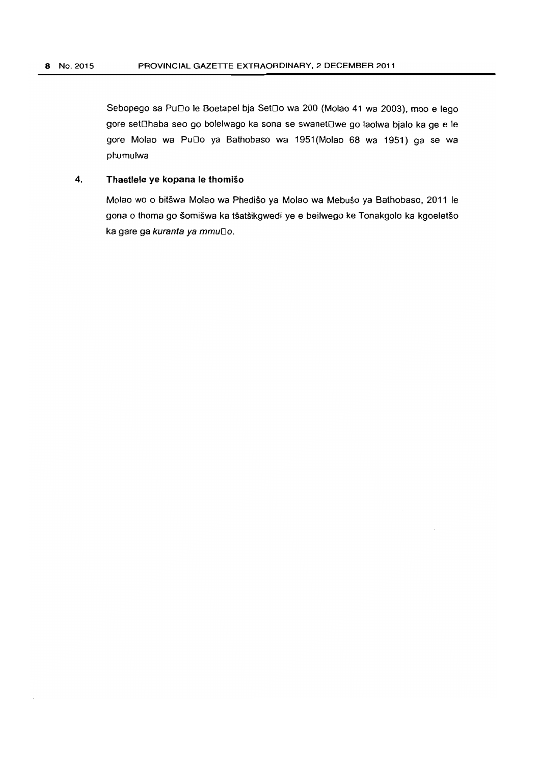Sebopego sa PuDo le Boetapel bja SetDo wa 200 (Molao 41 wa 2003), moo e lego gore setOhaba seo go bolelwago ka sona se swanetOwe go laolwa bjalo ka ge e le gore Molao wa PuDo ya Bathobaso wa 1951 (Molao 68 wa 1951) ga se wa phumulwa

# 4. **Thaetlele** ye kopana Ie thomiso

Molao wo 0 bitswa Molao wa Phediso ya Molao wa Mebuso ya Bathobaso. 2011 Ie gona o thoma go šomišwa ka tšatšikgwedi ye e beilwego ke Tonakgolo ka kgoeletšo ka gare ga kuranta ya mmuDo.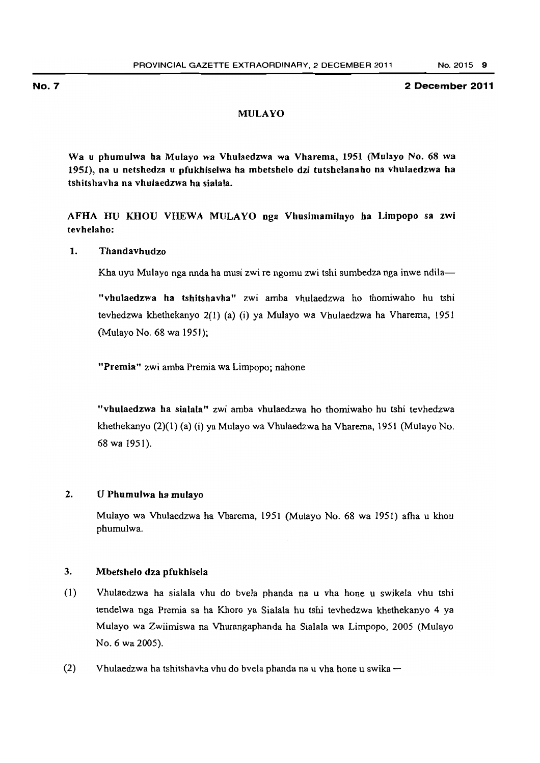# MULAYO

Wa u phumuJwa ha Mulayo wa Vhulaedzwa wa Vharema, 1951 (MuJayo No. 68 wa 1951), na u netshedza u pfukhiselwa ha mbetshelo dzi tutshelanaho na vhulaedzwa ha tshitshavha na vhulaedzwa ha sialala.

AFHA HU KHOU VHEWA MULAYO nga Vhusimamilayo ha Limpopo sa zwi tevhelaho:

# 1. Thandavhudzo

Kha uyu Mulayo nga nnda ha musi zwi re ngomu zwi tshi sumbedza nga inwe ndila-

"vhulaedzwa ha tshitshavba" zwi amba vhulaedzwa ho thomiwaho hu tshi tevhedzwa khethekanyo 2(l} (a) (i) ya MuJayo wa Vhulaedzwa ha Vharema, 1951 (Mulayo No. 68 wa 1951);

"Premia" zwi amba Premia wa Limpopo; nahone

"vhulaedzwa ha sialala" zwi amba vhulaedzwa ho thomiwaho hu tshi tevhedzwa khethekanyo (2)(1) (a) (i) ya Mulayo wa Vhulaedzwa ha Vharema, 1951 (Mulayo No. 68wa 1951).

# 2. U Phumulwa ha mulayo

Mulayo wa Vhulaedzwa ha Vharema, 1951 (Mulayo No. 68 wa 1951) afha u khou phumulwa.

# 3. Mbetshelo dza pfukhisela

- (1) Vhulaedzwa ha sialala vhu do bvela phanda na u vha hone u swikela vhu tshi tendelwa nga Premia sa ha Khoro ya Sialala hu tshi tevhedzwa khethekanyo 4 ya Mulayo wa Zwiimiswa na Vhurangaphanda ha Sialala wa Limpopo, 2005 (Mulayo No.6 wa 2005).
- (2) Vhulaedzwa ha tshitshavha vhu do bvela phanda na u vha hone u swika  $-$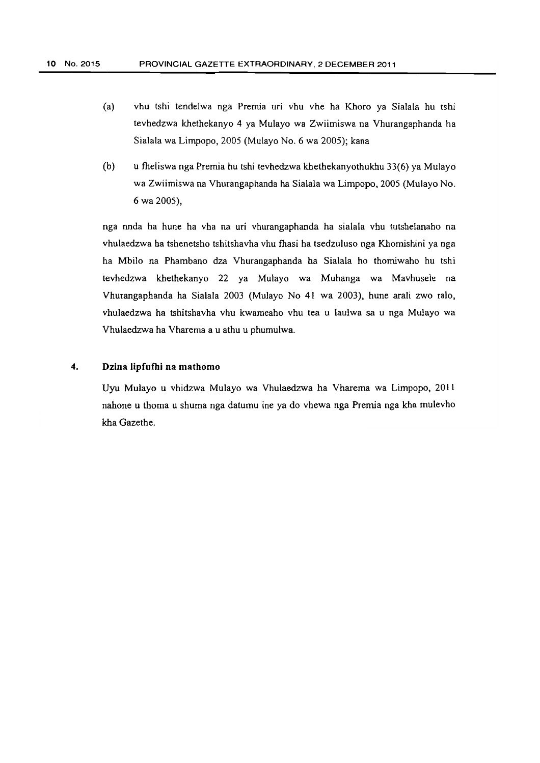- (a) vhu tshi tendelwa nga Premia uri vhu vhe ha Khoro ya Sialala hu tshi tevhedzwa khethekanyo 4 ya Mulayo wa Zwiimiswa na Vhurangaphanda ha Sialala wa Limpopo, 2005 (Mulayo No.6 wa 2005); kana
- (b) u fheliswa nga Premia hu tshi tevhedzwa khethekanyothukhu 33(6) ya Mulayo wa Zwiimiswa na Vhurangaphanda ha Sialala wa Limpopo, 2005 (Mulayo No. 6 wa 2005),

nga nnda ha hune ha vha na uri vhurangaphanda ha sialala vhu tutshelanaho na vhulaedzwa ha tshenetsho tshitshavha vhu fhasi ha tsedzuluso nga Khomishini ya nga ha Mbilo na Phambano dza Vhurangaphanda ha Sialala ho thomiwaho hu tshi tevhedzwa khethekanyo 22 ya Mulayo wa Muhanga wa Mavhusele na Vhurangaphanda ha Sialala 2003 (MuJayo No 41 wa 2003), hune arali zwo ralo, vhulaedzwa ha tshitshavha vhu kwameaho vhu tea u laulwa sa u nga Mulayo wa Vhulaedzwa ha Vharema a u athu u phumulwa.

# 4. Dzina **lipfufhi na** mathomo

Uyu Mulayo u vhidzwa Mulayo wa Vhulaedzwa ha Vharema wa Limpopo, 2011 nahone u thoma u shuma nga datumu ine ya do vhewa nga Premia nga kha mulevho kha Gazethe.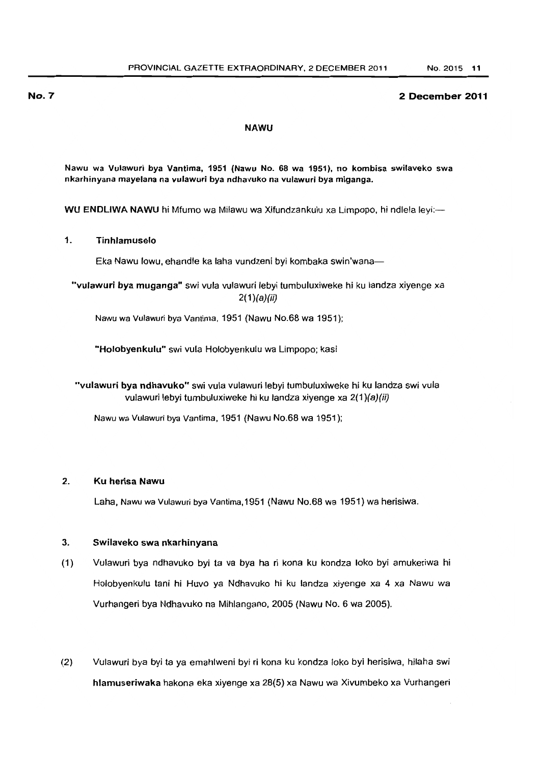#### NAWU

Nawu wa Vulawuri bya Vantima, 1951 (Nawu No. 68 wa 1951), no kombisa swilaveko swa nkarhinyana mayelana na vu'awuri bya ndhavuko na vulawuri bya miganga.

WU ENDLIWA NAWU hi Mfumo wa Milawu wa Xifundzankulu xa Limpopo, hi ndlela leyi:-

# 1. Tinhlamuselo

Eka Nawu lowu, ehandle ka laha vundzeni byi kombaka swin'wana-

"vufawuri bya muganga" swi vula vulawuri lebyi tumbuluxiweke hi ku landza xiyenge xa  $2(1)(a)(ii)$ 

Nawu wa Vulawuri bya Vantima, 1951 (Nawu No.68 wa 1951);

"Holobyenkulu" swi vula Holobyenkulu wa limpopo; kasi

"vulawuri bya ndhavuko" swi vula vulawuri lebyi tumbuluxiweke hi ku landza swi vula vulawuri lebyi tumbuluxiweke hi ku landza xiyenge xa 2(1)(a)(ii)

Nawu wa Vulawurt bya Vantima, 1951 (Nawu No.68 wa 1951);

# 2. Ku herisa Nawu

Laha, Nawu wa Vulawuri bya Vantima, 1951 (Nawu No.68 wa 1951) wa herisiwa.

#### 3. Swilaveko swa nkarhinyana

- (1) Vulawuri bya ndhavuko byi ta va bya ha ri kona ku kondza loko byi amukeriwa hi Holobyenkulu tan; hi Huvo ya Ndhavuko hi ku landza xiyenge xa 4 xa Nawu wa Vurhangeri bya Ndhavuko na Mihlangano, 2005 (Nawu NO.6 wa 2005).
- (2) Vulawuri bya byi ta ya emahlweni byi ri kona ku kondza loko byi herisiwa, hilaha swi hlamuseriwaka hakona eka xiyenge xa 28(5) xa Nawu wa Xivumbeko xa Vurhangeri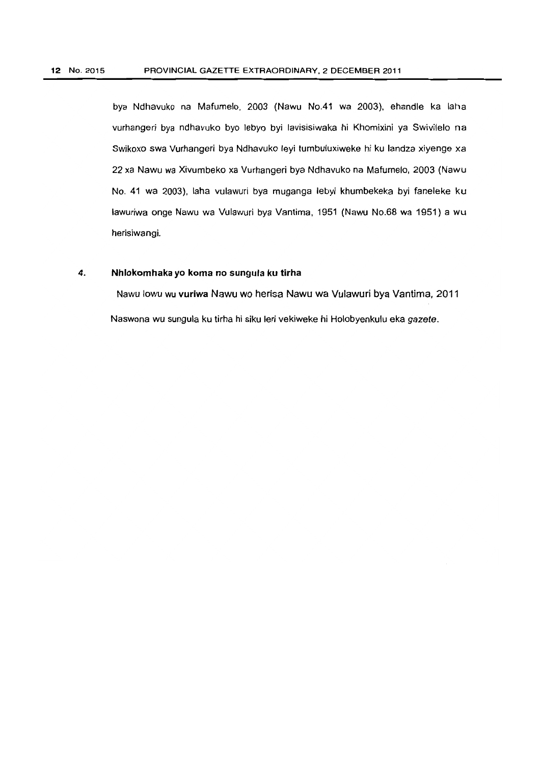bya Ndhavuko na Mafumelo, 2003 (Nawu No.41 wa 2003). ehandle ka laha vurhangeri bya ndhavuko byo lebyo by; lavisisiwaka hi Khomixini ya Swivilelo na SWikoxo swa Vurhangeri bya Ndhavuko leyi tumbuluxiweke hi ku landza xiyenge xa 22 xa Nawu wa Xivumbeko xa Vurhangeri bya Ndhavuko na Mafumelo, 2003 (Nawu No. 41 wa 2003). laha vulawuri bya muganga lebyi khumbekeka byi faneleke ku lawuriwa onge Nawu wa Vulawuri bya Vantima. 1951 (Nawu No.68 wa 1951) a wu herisiwangi.

# **4. Nhlokomhaka yo koma no sungula ku tirha**

Nawu lowu wu **vuriwa** Nawu wo herisa Nawu wa Vulawuri bya Vantima, 2011 Naswona wu sungula ku tirha hi siku leri vekiweke hi Holobyenkulu eka gazete.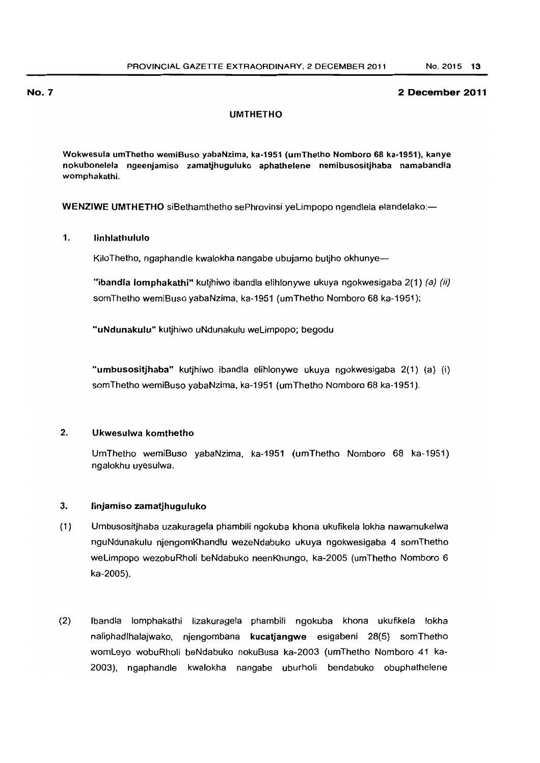#### NO.7 2 December **2011**

### UMTHETHO

Wokwesula umThetho wemiBuso yabaNzima, ka·1951 (umThetho Nomboro 68 ka-1951), kanye nokubonelela ngeenjamiso zamatjhuguluko aphathelene nemibusositjhaba namabandla womphakathi.

WENZIWE UMTHETHO siBethamthetho sePhrovinsi yeLimpopo ngendlela elandelako:-

# 1. Iinhlathululo

KiloThetho, ngaphandle kwalokha nangabe ubujamo butjho okhunye-

"ibandla lomphakathi" kutjhiwo ibandla elihlonywe ukuya ngokwesigaba  $2(1)$  (a) (ii) somThetho wemiBuso yabaNzima, ka-1951 (umThetho Nomboro 68 ka-1951);

"uNdunakulu" kutjhiwo uNdunakulu weLimpopo; begodu

"umbusositjhaba" kutjhiwo ibandla elihlonywe ukuya ngokwesigaba 2(1) (a) (i) somThetho wemiBuso yabaNzima, ka-1951 (umThetho Nomboro 68 ka-1951).

### 2. Ukwesulwa komthetho

UmThetho wemiBuso yabaNzima, ka-1951 (umThetho Nomboro 68 ka-1951) ngalokhu uyesulwa.

#### 3. linjamiso zamatjhuguluko

- (1) Umbusositjhaba uzakuragela phambili ngokuba khona ukufikela lokha nawamukelwa nguNdunakulu njengomKhandiu wezeNdabuko ukuya ngokwesigaba 4 somThetho weLimpopo wezobuRholi beNdabuko neenKhungo, ka-2005 (umThetho Nomboro 6 ka-2005).
- (2) Ibandla lomphakathi lizakuragela phambili ngokuba khona ukufikela !okha naliphadlhalajwako. njengombana kucatjangwe esigabeni 28(5) somThetho womLeyo wobuRholi beNdabuko nokuBusa ka-2003 (umThetho Nomboro 41 ka-2003). ngaphandle kwalokha nangabe uburholi bendabuko obuphathelene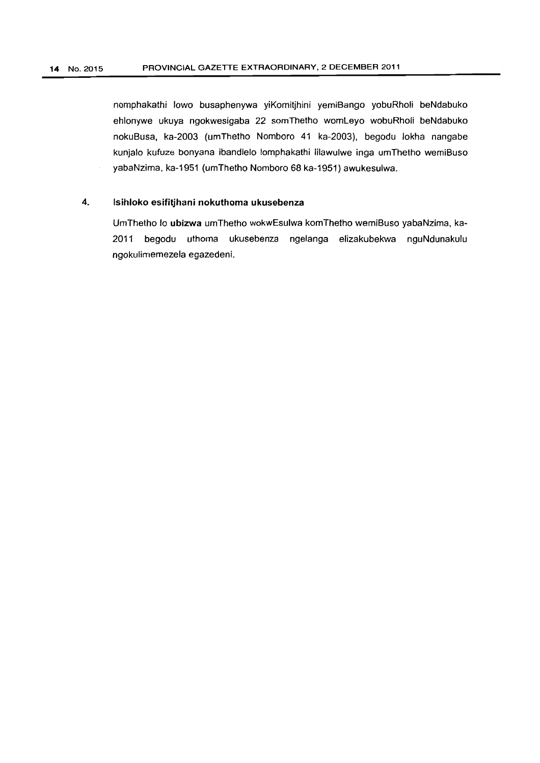nomphakathi lowo busaphenywa yiKomitjhini yemiBango yobuRholi beNdabuko ehlonywe ukuya ngokwesigaba 22 somThetho womLeyo wobuRholi beNdabuko nokuBusa, ka-2003 (umThetho Nomboro 41 ka-2003), begodu lokha nangabe kunjalo kufuze bonyana ibandlelo lomphakathi lilawulwe inga umThetho wemiBuso yabaNzima, ka-1951 (umThetho Nomboro 68 ka-1951) awukesulwa.

# **4. Isihloko esifitjhani nokuthoma ukusebenza**

UmThetho 10 **ubizwa** umThetho wokwEsulwa komThetho wemiBuso yabaNzima, ka-2011 begodu uthoma ukusebenza ngelanga elizakubekwa nguNdunakulu ngokulimemezela egazedeni.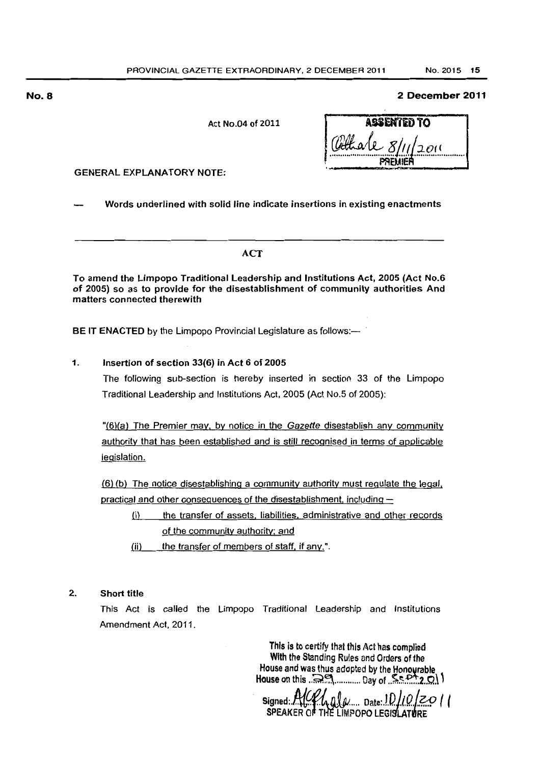Act No.04 of 2011

| assented to        |
|--------------------|
| (Cethale 8/11/2011 |
|                    |

**GENERAL EXPLANATORY NOTE:** 

Words underlined with solid line indicate insertions in existing enactments

### **ACT**

To amend the Limpopo Traditional Leadership and Institutions Act, 2005 (Act No.6 of 2005) so as to provide for the disestablishment of community authorities And matters connected therewith

BE IT ENACTED by the Limpopo Provincial Legislature as follows:-

# 1. Insertion of section 33(6) in Act 6 of 2005

The following sub-section is hereby inserted in section 33 of the Limpopo Traditional Leadership and Institutions Act, 2005 (Act No.5 of 2005):

"(6)(a) The Premier may. by notice in the Gazette disestablish any community authority that has been established and is still recognised in terms of applicable legislation.

(6) (b) The notice disestablishing a community authority must regulate the lega', practical and other oonsequences of the disestablishment, including-

- (i) the transfer of assets, liabilities. administrative and other records of the community authority: and
- $(ii)$  the transfer of members of staff, if any.".

# 2. Short title

This Act is called the Limpopo Traditional Leadership and Institutions Amendment Act, 2011 .

> This is to certify that this Act has complied With the Standing Rules and Orders of the House and was thus adopted by the Honourable House on this  $\mathbb{R}^n$ ............. Day of  $\mathbb{R}^{n+1}$ ,  $\Omega$

 $Signed: AUP, AB, B.$  Date:  $101012011$  $SPEAKER$  OF THE LIMPOPO LEGISLAT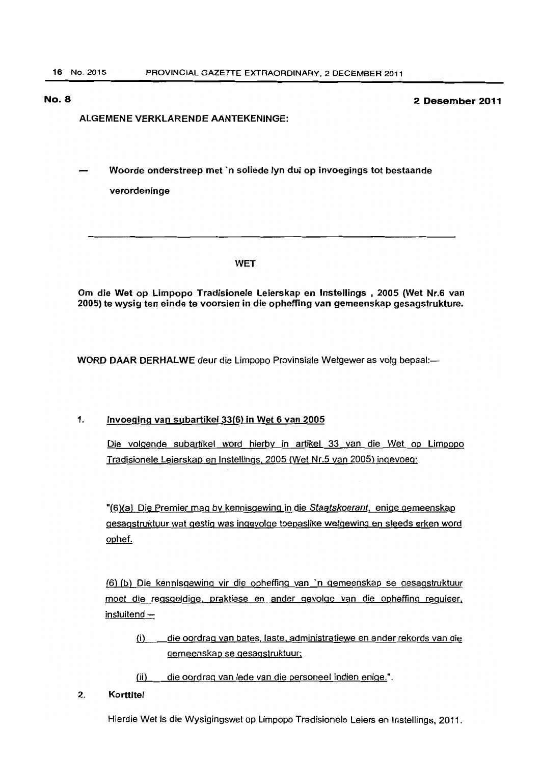# ALGEMENE VERKLARENDE AANTEKENINGE:

Woorde onderstreep met 'n soliede Iyn dui op invoegings tot bestaande verordeninge

#### WET

Om die Wet op Limpopo Tradisionele Leierskap en Instellings • 2005 (Wet Nr.6 van 2005) te wysig ten einde te voorsien in die opheffing van gemeenskap gesagstrukture.

WORD DAAR DERHALWE deur die Limpopo Provinsiale Wetgewer as volg bepaal:-

#### 1. Invoeging van subartikel 33(6) in Wet 6 van 2005

Die volgende subartikel word hierby in artikel 33 van die Wet op Limpopo Tradisionele Leierskap en Instellings. 2005 (Wet Nr.5 van 2005) ingevoeg:

"(6)(a) Die Premier mag by kennisgewing in die Staatskoerant, enige gemeenskap gesagstruktuur wat gestig was ingevolge toepaslike wetgewing en steeds erken word ophef.

(6) (b) Die kennisgewing vir die opheffing van 'n gemeenskap se gesagstruktuur moet die regsgeldige, praktiese en ander gevolge van die opheffinq reguleer.  $in$ sluitend  $-$ 

(i) die oordrag van bates. laste, administratiewe en ander rekords van die gemeenSkap se gesagstruktuur;

(ii) die oordrag van lede van die personeel indien enige.".

#### 2. Korttitel

Hierdie Wet is die Wysigingswet op Limpopo Tradisionele Leiers en Instellings. 2011.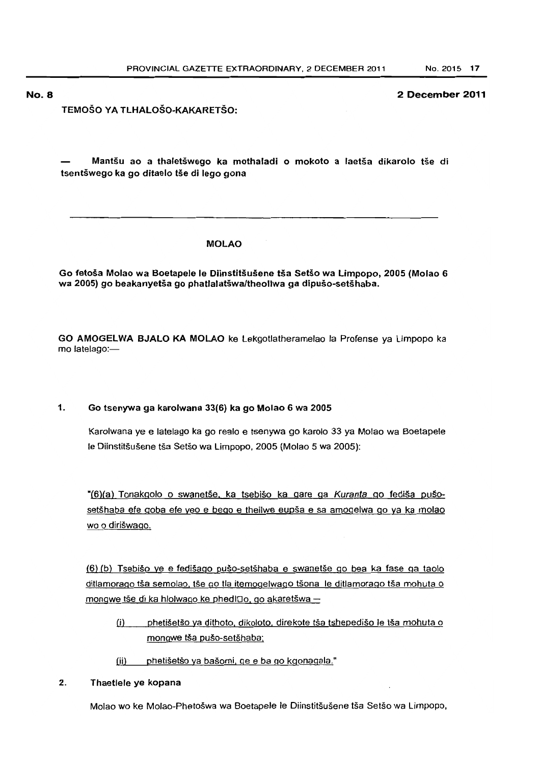**TEMOSO VA TlHAlOSO-KAKARETSO:** 

**Mantsu ao a thaletswego ka mothaladi 0 mokoto a laetsa dikarolo !Se di tsentswego ka go ditaelo tse di lego gona** 

# **MOlAO**

**Go fetoSa Molao wa Boetapele Ie Diinstitsusene tsa SelSo wa Limpopo, 2005 {Molao 6 wa 2005} go beakanyetsa go phatlalatswa/theollwa ga dipuso-setshaba.** 

**GO AMOGElWA BJAlO KA MOLAO** ke Lekgotlatheramelao la Profense ya limpopo ka mo latelago:-

**1. Go tsenywa ga karolwana 33{6) ka go Molao 6 wa 2005** 

Karolwana ye e latelago ka go realo e tsenywa go karalo 33 ya Molao wa Boetapele Ie Diinstitsusene tsa Setso wa limpopo, 2005 (Molao 5 wa 2005):

"(6)(a) Tonakgolo o swanetše, ka tsebišo ka gare ga Kuranta go fediša pušosetšhaba efe goba efe yeo e bego e theilwe eupša e sa amogelwa go ya ka molao wo 0 diriswago.

(6) (b) Tsebiso ye e fedisago puso-setshaba e swanetse go bea ka fase 9a taolo ditlamorago tša semolao, tše go tla itemogelwago tšona le ditlamorago tša mohuta o mongwe tše di ka hlolwago ke phedl $\Box$ o, go akaretšwa $-$ 

- (i) phetišetšo ya dithoto, dikoloto, direkote tša tshepedišo le tša mohuta o mongwe tša pušo-setšhaba;
- (ii) phetišetšo ya bašomi, qe e ba go kgonagala."
- 2. Thaetlele **ye kopana**

Molao wo ke Molao-Phetoswa wa Boetapele Ie Diinstitsusene tsa Setso wa limpopo,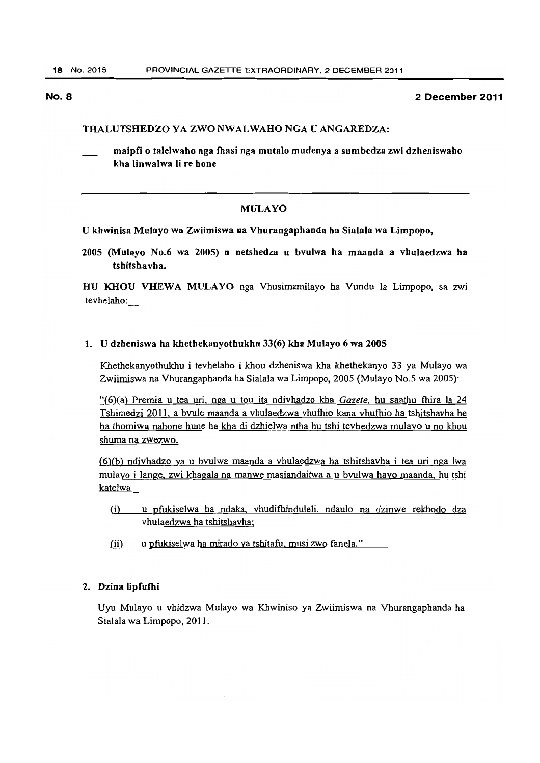# THALUTSHEDZO YA ZWO NWALWAHO NGA U ANGAREDZA:

maipfi o talelwaho nga fhasi nga mutalo mudenya a sumbedza zwi dzheniswaho kha linwalwa Ii re hone

# MULAYO

#### U khwinisa Mulayo wa Zwiimiswa na Vhurangaphanda ha Sialala wa Limpopo,

2005 (Mulayo No.6 wa 2005) u netshedza u bvulwa ha maanda a vhulaedzwa ha tshitshavha.

HU KHOU VHEWA MULAYO nga Vhusimamilayo ba Vundu Ia Limpopo, sa zwi tevhelabo:

#### 1. U dzheniswa ha khethekanyothukhu 33(6) kha Mulayo 6 wa 2005

Khethekanyothukhu i tevhelaho i khou dzheniswa kha khetbekanyo 33 ya Mulayo wa Zwiimiswa na Vhurangapbanda ha Sialala wa Limpopo, 2005 (Mulayo No.5 wa 2005):

"(6)(a) Premia u tea uri, nga u tou ita ndivbadzo kha *Gazete,* bu saathu fhira la 24 Tshimedzi 2011, a bvule maanda a vhulaedzwa vhuthio kana vhuthio ha tshitshavha he ha thomiwa nahone hune ha kha di dzhielwa ntha hu tshi tevhedzwa mulayo u no khou shuma na zwezwo.

 $(6)(b)$  ndivhadzo ya u bvulwa maanda a vhulaedzwa ha tshitshavha i tea uri nga Iwa mulayo i lange, zwi khagala na manwe masiandaitwa a u bvulwa hayo maanda, hu tshi katelwa

- (i) u pfukiselwa ha ndaka. vhudifhinduleli, ndaulo na dzinwe rekhodo dza vhulaedzwa ha tshitshavha;
- (ii) u pfukiselwa ha mirado ya tshitafu, musi zwo fanela."

### 2. Dzina Iipfufhi

Uyu Mulayo u vhidzwa Mulayo wa Khwiniso ya Zwiimiswa na Vhurangapbanda ha Sialala wa Limpopo, 2011.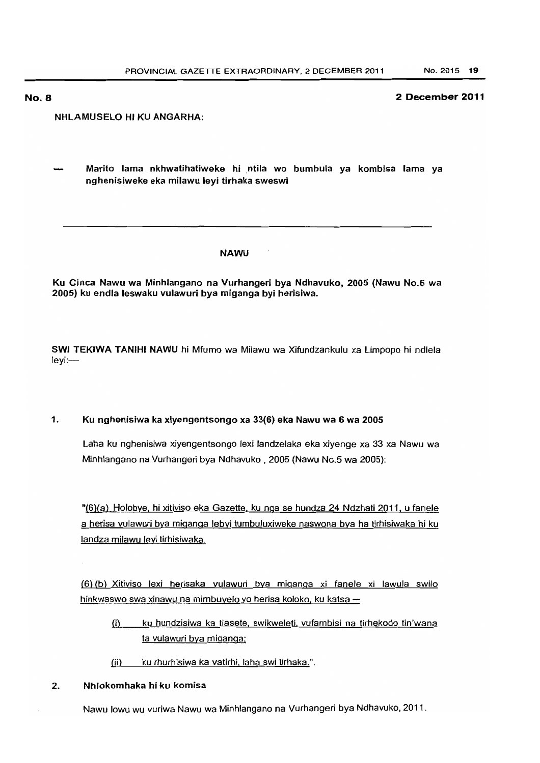# NHLAMUSELO HI KU ANGARHA;

Marito lama nkhwatihatiweke hi ntila wo bumbu'a ya kombisa lama ya nghenisiweke eka milawu leyi tirhaka sweswi

#### NAWU

Ku Cinea Nawu wa Minhlangano na Vurhangeri bya Ndhavuko, 2005 (Nawu No.6 wa 2005) ku end'a leswaku vu'awuri bya miganga byi herislwa.

SWI TEKIWA TANIHI NAWU hi Mfumo wa Milawu wa Xifundzankulu xa Limpopo hi ndlela leyi:-

# 1. Ku nghenisiwa ka xiyengentsongo xa 33(6) eka Nawu wa 6 wa 2005

Laha ku nghenisiwa xiyengentsongo lexi landzelaka eka xiyenge xa 33 xa Nawu wa Minhlangano na Vurhangeri bya Ndhavuko, 2005 (Nawu No.5 wa 2005):

"(6)(a) Holobye, hi xitiviso eka Gazette. ku naa se hundza 24 Ndzhati 2011. u fanele a herisa vulawuri bya miganga lebyi tumbuluxiweke naswona bya ha tirhisiwaka hi ku landza milawu leyi tirhisiwaka.

(6) (b) X;tiviso lex; herisaka vulawuri bya m;ganga xi fanele x; lawula swilo hinkwaswo swa xinawu na mimbuyelo yo herisa koloko, ku katsa  $-$ 

- (i) ku hundzisiwa ka tiasete, swikweleti, vufambisi na tirhekodo tin'wana ta vulawuri bya miganga;
- (ii) ku rhurhisiwa ka vatirhi, laha swi tirhaka.".

# 2. Nhlokomhaka hi ku komisa

Nawu lowu wu vuriwa Nawu wa Minhlangano na Vurhangeri bya Ndhavuko, 2011 .